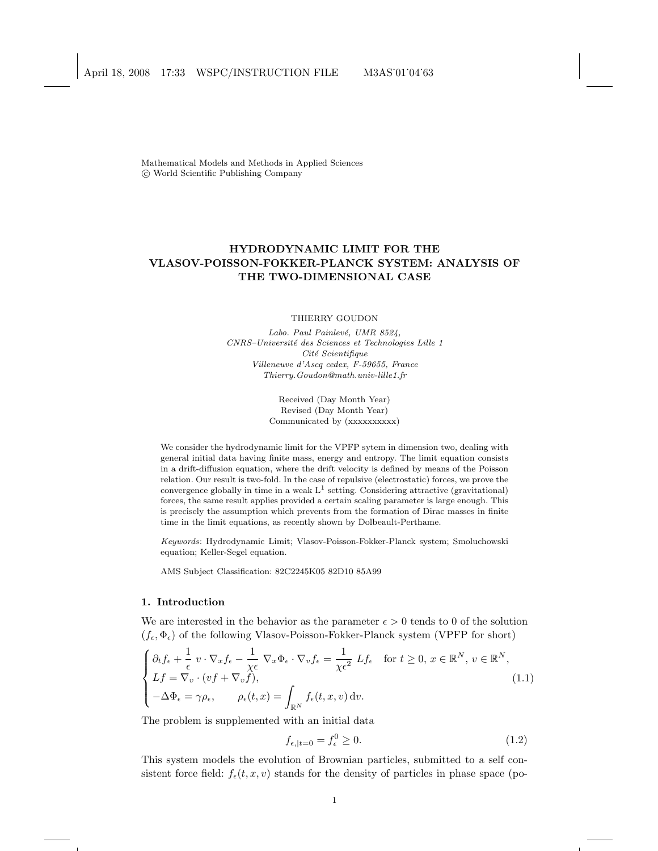Mathematical Models and Methods in Applied Sciences c World Scientific Publishing Company

# HYDRODYNAMIC LIMIT FOR THE VLASOV-POISSON-FOKKER-PLANCK SYSTEM: ANALYSIS OF THE TWO-DIMENSIONAL CASE

### THIERRY GOUDON

Labo. Paul Painlevé, UMR 8524, CNRS–Universit´e des Sciences et Technologies Lille 1 Cité Scientifique Villeneuve d'Ascq cedex, F-59655, France Thierry.Goudon@math.univ-lille1.fr

> Received (Day Month Year) Revised (Day Month Year) Communicated by (xxxxxxxxx)

We consider the hydrodynamic limit for the VPFP sytem in dimension two, dealing with general initial data having finite mass, energy and entropy. The limit equation consists in a drift-diffusion equation, where the drift velocity is defined by means of the Poisson relation. Our result is two-fold. In the case of repulsive (electrostatic) forces, we prove the convergence globally in time in a weak  $L^1$  setting. Considering attractive (gravitational) forces, the same result applies provided a certain scaling parameter is large enough. This is precisely the assumption which prevents from the formation of Dirac masses in finite time in the limit equations, as recently shown by Dolbeault-Perthame.

Keywords: Hydrodynamic Limit; Vlasov-Poisson-Fokker-Planck system; Smoluchowski equation; Keller-Segel equation.

AMS Subject Classification: 82C2245K05 82D10 85A99

# 1. Introduction

We are interested in the behavior as the parameter  $\epsilon > 0$  tends to 0 of the solution  $(f_{\epsilon}, \Phi_{\epsilon})$  of the following Vlasov-Poisson-Fokker-Planck system (VPFP for short)

$$
\begin{cases} \partial_t f_{\epsilon} + \frac{1}{\epsilon} v \cdot \nabla_x f_{\epsilon} - \frac{1}{\chi \epsilon} \nabla_x \Phi_{\epsilon} \cdot \nabla_v f_{\epsilon} = \frac{1}{\chi \epsilon^2} L f_{\epsilon} & \text{for } t \ge 0, x \in \mathbb{R}^N, v \in \mathbb{R}^N, \\ L f = \nabla_v \cdot (vf + \nabla_v f), \\ -\Delta \Phi_{\epsilon} = \gamma \rho_{\epsilon}, \qquad \rho_{\epsilon}(t, x) = \int_{\mathbb{R}^N} f_{\epsilon}(t, x, v) dv. \end{cases}
$$
(1.1)

The problem is supplemented with an initial data

$$
f_{\epsilon,|t=0} = f_{\epsilon}^0 \ge 0. \tag{1.2}
$$

This system models the evolution of Brownian particles, submitted to a self consistent force field:  $f_{\epsilon}(t, x, v)$  stands for the density of particles in phase space (po-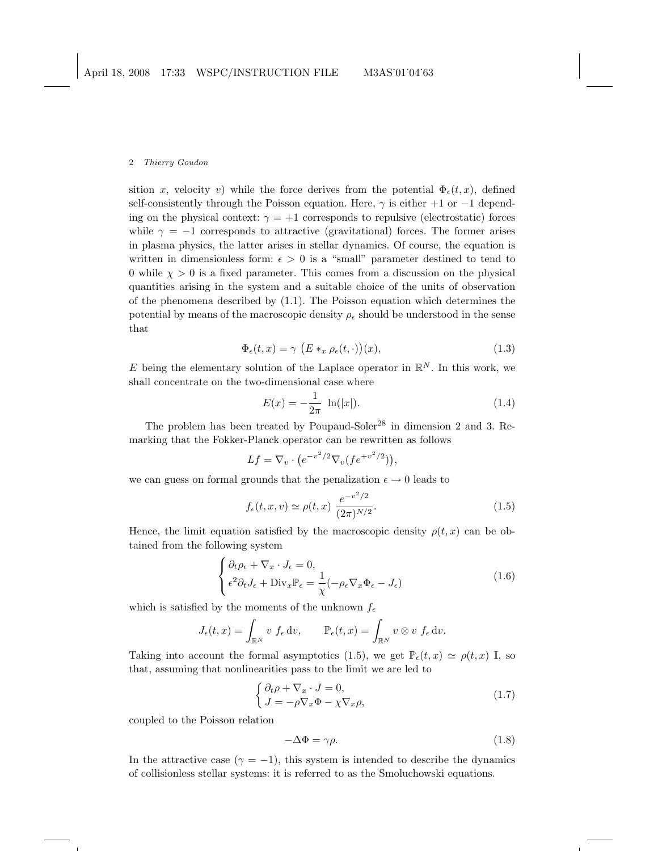sition x, velocity v) while the force derives from the potential  $\Phi_{\epsilon}(t, x)$ , defined self-consistently through the Poisson equation. Here,  $\gamma$  is either +1 or −1 depending on the physical context:  $\gamma = +1$  corresponds to repulsive (electrostatic) forces while  $\gamma = -1$  corresponds to attractive (gravitational) forces. The former arises in plasma physics, the latter arises in stellar dynamics. Of course, the equation is written in dimensionless form:  $\epsilon > 0$  is a "small" parameter destined to tend to 0 while  $\chi > 0$  is a fixed parameter. This comes from a discussion on the physical quantities arising in the system and a suitable choice of the units of observation of the phenomena described by (1.1). The Poisson equation which determines the potential by means of the macroscopic density  $\rho_{\epsilon}$  should be understood in the sense that

$$
\Phi_{\epsilon}(t,x) = \gamma \left( E *_{x} \rho_{\epsilon}(t,\cdot) \right)(x), \tag{1.3}
$$

E being the elementary solution of the Laplace operator in  $\mathbb{R}^N$ . In this work, we shall concentrate on the two-dimensional case where

$$
E(x) = -\frac{1}{2\pi} \ln(|x|). \tag{1.4}
$$

The problem has been treated by Poupaud-Soler<sup>28</sup> in dimension 2 and 3. Remarking that the Fokker-Planck operator can be rewritten as follows

$$
Lf = \nabla_v \cdot \left(e^{-v^2/2} \nabla_v (fe^{+v^2/2})\right),
$$

we can guess on formal grounds that the penalization  $\epsilon \to 0$  leads to

$$
f_{\epsilon}(t, x, v) \simeq \rho(t, x) \frac{e^{-v^2/2}}{(2\pi)^{N/2}}.
$$
 (1.5)

Hence, the limit equation satisfied by the macroscopic density  $\rho(t,x)$  can be obtained from the following system

$$
\begin{cases} \partial_t \rho_{\epsilon} + \nabla_x \cdot J_{\epsilon} = 0, \\ \epsilon^2 \partial_t J_{\epsilon} + \text{Div}_x \mathbb{P}_{\epsilon} = \frac{1}{\chi} (-\rho_{\epsilon} \nabla_x \Phi_{\epsilon} - J_{\epsilon}) \end{cases} \tag{1.6}
$$

which is satisfied by the moments of the unknown  $f_{\epsilon}$ 

$$
J_{\epsilon}(t,x) = \int_{\mathbb{R}^N} v \, f_{\epsilon} \, dv, \qquad \mathbb{P}_{\epsilon}(t,x) = \int_{\mathbb{R}^N} v \otimes v \, f_{\epsilon} \, dv.
$$

Taking into account the formal asymptotics (1.5), we get  $\mathbb{P}_{\epsilon}(t, x) \simeq \rho(t, x) \mathbb{I}$ , so that, assuming that nonlinearities pass to the limit we are led to

$$
\begin{cases} \partial_t \rho + \nabla_x \cdot J = 0, \\ J = -\rho \nabla_x \Phi - \chi \nabla_x \rho, \end{cases}
$$
\n(1.7)

coupled to the Poisson relation

$$
-\Delta \Phi = \gamma \rho. \tag{1.8}
$$

In the attractive case ( $\gamma = -1$ ), this system is intended to describe the dynamics of collisionless stellar systems: it is referred to as the Smoluchowski equations.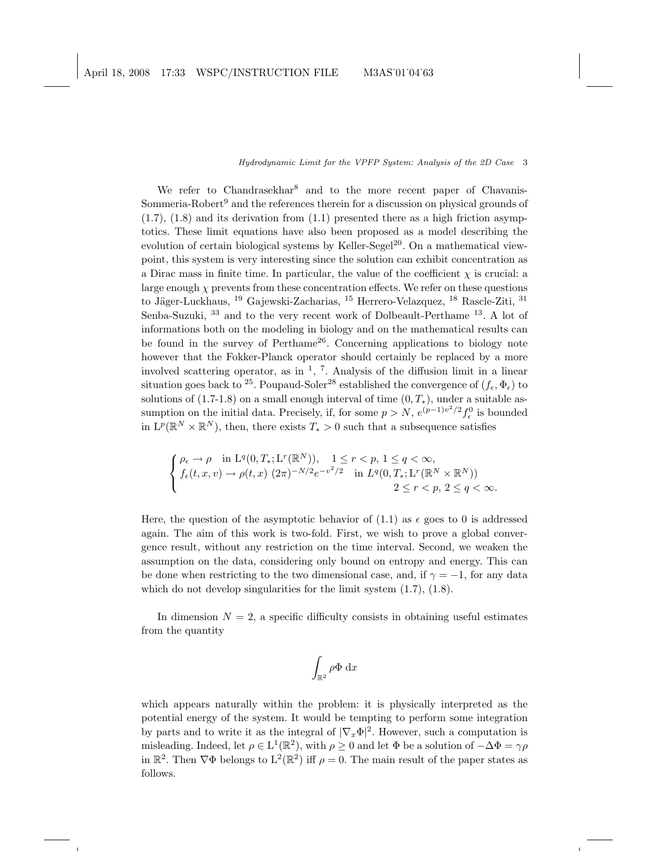We refer to Chandrasekhar<sup>8</sup> and to the more recent paper of Chavanis-Sommeria-Robert<sup>9</sup> and the references therein for a discussion on physical grounds of  $(1.7), (1.8)$  and its derivation from  $(1.1)$  presented there as a high friction asymptotics. These limit equations have also been proposed as a model describing the evolution of certain biological systems by Keller-Segel<sup>20</sup>. On a mathematical viewpoint, this system is very interesting since the solution can exhibit concentration as a Dirac mass in finite time. In particular, the value of the coefficient  $\chi$  is crucial: a large enough  $\chi$  prevents from these concentration effects. We refer on these questions to Jäger-Luckhaus,  $^{19}$  Gajewski-Zacharias,  $^{15}$  Herrero-Velazquez,  $^{18}$  Rascle-Ziti,  $^{31}$ Senba-Suzuki, <sup>33</sup> and to the very recent work of Dolbeault-Perthame <sup>13</sup>. A lot of informations both on the modeling in biology and on the mathematical results can be found in the survey of Perthame<sup>26</sup>. Concerning applications to biology note however that the Fokker-Planck operator should certainly be replaced by a more involved scattering operator, as in  $\frac{1}{2}$ ,  $\frac{7}{2}$ . Analysis of the diffusion limit in a linear situation goes back to <sup>25</sup>. Poupaud-Soler<sup>28</sup> established the convergence of  $(f_{\epsilon}, \Phi_{\epsilon})$  to solutions of (1.7-1.8) on a small enough interval of time  $(0, T_*)$ , under a suitable assumption on the initial data. Precisely, if, for some  $p > N$ ,  $e^{(p-1)v^2/2} f_{\epsilon}^0$  is bounded in  $\mathcal{L}^p(\mathbb{R}^N\times\mathbb{R}^N)$ , then, there exists  $T_*>0$  such that a subsequence satisfies

$$
\begin{cases} \rho_{\epsilon}\to\rho & \text{in } \mathrm{L}^q(0,T_*;\mathrm{L}^r(\mathbb{R}^N)), \quad 1\leq r
$$

Here, the question of the asymptotic behavior of  $(1.1)$  as  $\epsilon$  goes to 0 is addressed again. The aim of this work is two-fold. First, we wish to prove a global convergence result, without any restriction on the time interval. Second, we weaken the assumption on the data, considering only bound on entropy and energy. This can be done when restricting to the two dimensional case, and, if  $\gamma = -1$ , for any data which do not develop singularities for the limit system  $(1.7)$ ,  $(1.8)$ .

In dimension  $N = 2$ , a specific difficulty consists in obtaining useful estimates from the quantity

$$
\int_{\mathbb{R}^2} \rho \Phi \, \mathrm{d}x
$$

which appears naturally within the problem: it is physically interpreted as the potential energy of the system. It would be tempting to perform some integration by parts and to write it as the integral of  $|\nabla_x \Phi|^2$ . However, such a computation is misleading. Indeed, let  $\rho \in L^1(\mathbb{R}^2)$ , with  $\rho \geq 0$  and let  $\Phi$  be a solution of  $-\Delta \Phi = \gamma \rho$ in  $\mathbb{R}^2$ . Then  $\nabla \Phi$  belongs to  $L^2(\mathbb{R}^2)$  iff  $\rho = 0$ . The main result of the paper states as follows.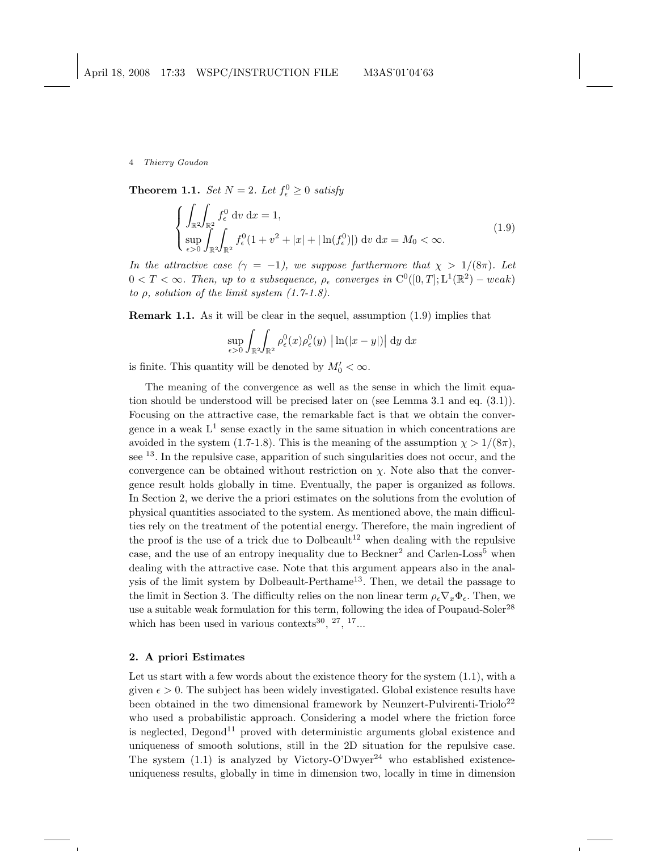**Theorem 1.1.** Set  $N = 2$ . Let  $f_{\epsilon}^0 \geq 0$  satisfy

$$
\begin{cases}\n\int_{\mathbb{R}^2} \int_{\mathbb{R}^2} f_{\epsilon}^0 \, dv \, dx = 1, \\
\sup_{\epsilon > 0} \int_{\mathbb{R}^2} \int_{\mathbb{R}^2} f_{\epsilon}^0 (1 + v^2 + |x| + |\ln(f_{\epsilon}^0)|) \, dv \, dx = M_0 < \infty.\n\end{cases} \tag{1.9}
$$

In the attractive case  $(\gamma = -1)$ , we suppose furthermore that  $\chi > 1/(8\pi)$ . Let  $0 < T < \infty$ . Then, up to a subsequence,  $\rho_{\epsilon}$  converges in  $C^0([0,T]; L^1(\mathbb{R}^2) - weak)$ to  $\rho$ , solution of the limit system  $(1.7-1.8)$ .

Remark 1.1. As it will be clear in the sequel, assumption (1.9) implies that

$$
\sup_{\epsilon>0} \int_{\mathbb{R}^2} \int_{\mathbb{R}^2} \rho_{\epsilon}^0(x) \rho_{\epsilon}^0(y) \left| \ln(|x-y|) \right| \, \mathrm{d}y \, \mathrm{d}x
$$

is finite. This quantity will be denoted by  $M'_0 < \infty$ .

The meaning of the convergence as well as the sense in which the limit equation should be understood will be precised later on (see Lemma 3.1 and eq. (3.1)). Focusing on the attractive case, the remarkable fact is that we obtain the convergence in a weak  $L^1$  sense exactly in the same situation in which concentrations are avoided in the system (1.7-1.8). This is the meaning of the assumption  $\chi > 1/(8\pi)$ , see  $^{13}$ . In the repulsive case, apparition of such singularities does not occur, and the convergence can be obtained without restriction on  $\chi$ . Note also that the convergence result holds globally in time. Eventually, the paper is organized as follows. In Section 2, we derive the a priori estimates on the solutions from the evolution of physical quantities associated to the system. As mentioned above, the main difficulties rely on the treatment of the potential energy. Therefore, the main ingredient of the proof is the use of a trick due to Dolbeault<sup>12</sup> when dealing with the repulsive case, and the use of an entropy inequality due to Beckner<sup>2</sup> and Carlen-Loss<sup>5</sup> when dealing with the attractive case. Note that this argument appears also in the analysis of the limit system by Dolbeault-Perthame<sup>13</sup>. Then, we detail the passage to the limit in Section 3. The difficulty relies on the non linear term  $\rho_\epsilon \nabla_x \Phi_\epsilon$ . Then, we use a suitable weak formulation for this term, following the idea of Poupaud-Soler<sup>28</sup> which has been used in various contexts<sup>30</sup>,  $27, 17...$ 

### 2. A priori Estimates

Let us start with a few words about the existence theory for the system  $(1.1)$ , with a given  $\epsilon > 0$ . The subject has been widely investigated. Global existence results have been obtained in the two dimensional framework by Neunzert-Pulvirenti-Triolo<sup>22</sup> who used a probabilistic approach. Considering a model where the friction force is neglected, Degond<sup>11</sup> proved with deterministic arguments global existence and uniqueness of smooth solutions, still in the 2D situation for the repulsive case. The system  $(1.1)$  is analyzed by Victory-O'Dwyer<sup>24</sup> who established existenceuniqueness results, globally in time in dimension two, locally in time in dimension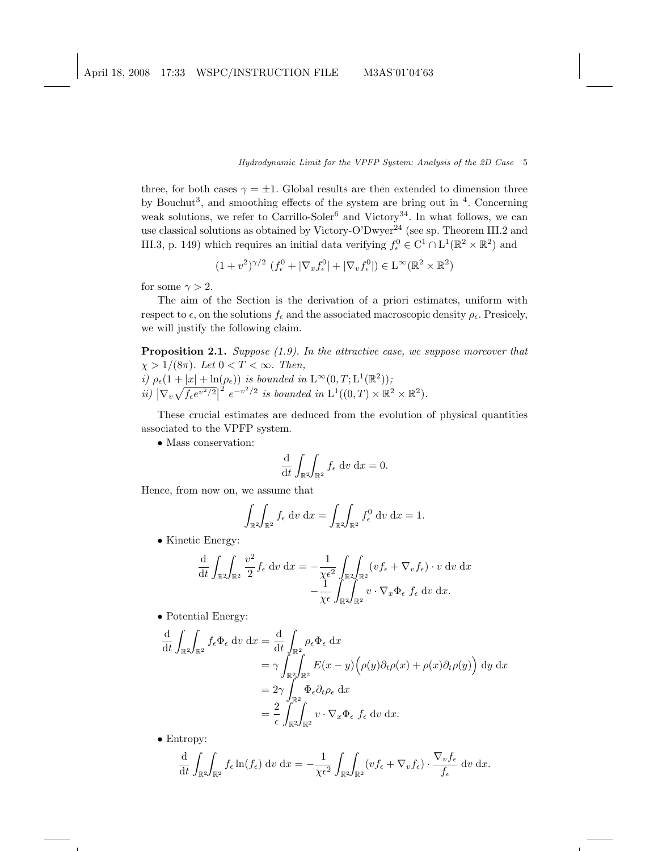three, for both cases  $\gamma = \pm 1$ . Global results are then extended to dimension three by Bouchut<sup>3</sup>, and smoothing effects of the system are bring out in  $4$ . Concerning weak solutions, we refer to Carrillo-Soler<sup>6</sup> and Victory<sup>34</sup>. In what follows, we can use classical solutions as obtained by Victory-O'Dwyer<sup>24</sup> (see sp. Theorem III.2 and III.3, p. 149) which requires an initial data verifying  $f_{\epsilon}^0 \in C^1 \cap L^1(\mathbb{R}^2 \times \mathbb{R}^2)$  and

$$
(1 + v^2)^{\gamma/2} \left( f_{\epsilon}^0 + |\nabla_x f_{\epsilon}^0| + |\nabla_v f_{\epsilon}^0| \right) \in L^{\infty}(\mathbb{R}^2 \times \mathbb{R}^2)
$$

for some  $\gamma > 2$ .

The aim of the Section is the derivation of a priori estimates, uniform with respect to  $\epsilon$ , on the solutions  $f_{\epsilon}$  and the associated macroscopic density  $\rho_{\epsilon}$ . Presicely, we will justify the following claim.

Proposition 2.1. Suppose (1.9). In the attractive case, we suppose moreover that  $\chi > 1/(8\pi)$ . Let  $0 < T < \infty$ . Then, i)  $\rho_{\epsilon}(1+|x|+\ln(\rho_{\epsilon}))$  is bounded in  $L^{\infty}(0,T;L^{1}(\mathbb{R}^{2}))$ ;

ii)  $\left| \nabla_v \sqrt{f_\epsilon e^{v^2/2}} \right|$  $2e^{-v^2/2}$  is bounded in  $L^1((0,T)\times\mathbb{R}^2\times\mathbb{R}^2)$ .

These crucial estimates are deduced from the evolution of physical quantities associated to the VPFP system.

• Mass conservation:

$$
\frac{\mathrm{d}}{\mathrm{d}t} \int_{\mathbb{R}^2} \int_{\mathbb{R}^2} f_{\epsilon} \, \mathrm{d}v \, \mathrm{d}x = 0.
$$

Hence, from now on, we assume that

$$
\int_{\mathbb{R}^2} \int_{\mathbb{R}^2} f_{\epsilon} \, \mathrm{d}v \, \mathrm{d}x = \int_{\mathbb{R}^2} \int_{\mathbb{R}^2} f_{\epsilon}^0 \, \mathrm{d}v \, \mathrm{d}x = 1.
$$

• Kinetic Energy:

$$
\frac{\mathrm{d}}{\mathrm{d}t} \int_{\mathbb{R}^2} \int_{\mathbb{R}^2} \frac{v^2}{2} f_{\epsilon} \, \mathrm{d}v \, \mathrm{d}x = -\frac{1}{\chi \epsilon^2} \int_{\mathbb{R}^2} \int_{\mathbb{R}^2} (v f_{\epsilon} + \nabla_v f_{\epsilon}) \cdot v \, \mathrm{d}v \, \mathrm{d}x \n- \frac{1}{\chi \epsilon} \int_{\mathbb{R}^2} \int_{\mathbb{R}^2} v \cdot \nabla_x \Phi_{\epsilon} f_{\epsilon} \, \mathrm{d}v \, \mathrm{d}x.
$$

• Potential Energy:

$$
\frac{\mathrm{d}}{\mathrm{d}t} \int_{\mathbb{R}^2} \int_{\mathbb{R}^2} f_{\epsilon} \Phi_{\epsilon} \, \mathrm{d}v \, \mathrm{d}x = \frac{\mathrm{d}}{\mathrm{d}t} \int_{\mathbb{R}^2} \rho_{\epsilon} \Phi_{\epsilon} \, \mathrm{d}x \n= \gamma \int_{\mathbb{R}^2} \int_{\mathbb{R}^2} E(x - y) \Big( \rho(y) \partial_t \rho(x) + \rho(x) \partial_t \rho(y) \Big) \, \mathrm{d}y \, \mathrm{d}x \n= 2\gamma \int_{\mathbb{R}^2} \Phi_{\epsilon} \partial_t \rho_{\epsilon} \, \mathrm{d}x \n= \frac{2}{\epsilon} \int_{\mathbb{R}^2} \int_{\mathbb{R}^2} v \cdot \nabla_x \Phi_{\epsilon} \, f_{\epsilon} \, \mathrm{d}v \, \mathrm{d}x.
$$

• Entropy:

$$
\frac{\mathrm{d}}{\mathrm{d}t} \int_{\mathbb{R}^2} \int_{\mathbb{R}^2} f_{\epsilon} \ln(f_{\epsilon}) \, \mathrm{d}v \, \mathrm{d}x = -\frac{1}{\chi \epsilon^2} \int_{\mathbb{R}^2} \int_{\mathbb{R}^2} (v f_{\epsilon} + \nabla_v f_{\epsilon}) \cdot \frac{\nabla_v f_{\epsilon}}{f_{\epsilon}} \, \mathrm{d}v \, \mathrm{d}x.
$$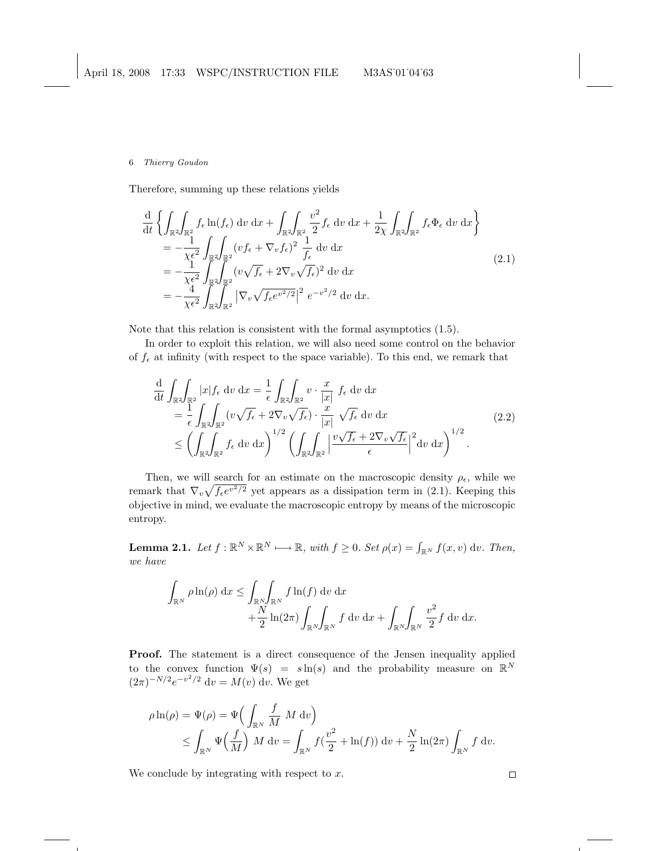Therefore, summing up these relations yields

$$
\frac{\mathrm{d}}{\mathrm{d}t} \left\{ \int_{\mathbb{R}^2} \int_{\mathbb{R}^2} f_{\epsilon} \ln(f_{\epsilon}) \, \mathrm{d}v \, \mathrm{d}x + \int_{\mathbb{R}^2} \int_{\mathbb{R}^2} \frac{v^2}{2} f_{\epsilon} \, \mathrm{d}v \, \mathrm{d}x + \frac{1}{2\chi} \int_{\mathbb{R}^2} \int_{\mathbb{R}^2} f_{\epsilon} \Phi_{\epsilon} \, \mathrm{d}v \, \mathrm{d}x \right\} \n= -\frac{1}{\chi \epsilon^2} \int_{\mathbb{R}^2} \int_{\mathbb{R}^2} (v f_{\epsilon} + \nabla_v f_{\epsilon})^2 \frac{1}{f_{\epsilon}} \, \mathrm{d}v \, \mathrm{d}x \n= -\frac{1}{\chi \epsilon^2} \int_{\mathbb{R}^2} \int_{\mathbb{R}^2} (v \sqrt{f_{\epsilon}} + 2\nabla_v \sqrt{f_{\epsilon}})^2 \, \mathrm{d}v \, \mathrm{d}x \n= -\frac{4}{\chi \epsilon^2} \int_{\mathbb{R}^2} \int_{\mathbb{R}^2} |\nabla_v \sqrt{f_{\epsilon} e^{v^2/2}}|^2 e^{-v^2/2} \, \mathrm{d}v \, \mathrm{d}x.
$$
\n(2.1)

Note that this relation is consistent with the formal asymptotics (1.5).

In order to exploit this relation, we will also need some control on the behavior of  $f_{\epsilon}$  at infinity (with respect to the space variable). To this end, we remark that

$$
\frac{\mathrm{d}}{\mathrm{d}t} \int_{\mathbb{R}^2} \int_{\mathbb{R}^2} |x| f_{\epsilon} \, \mathrm{d}v \, \mathrm{d}x = \frac{1}{\epsilon} \int_{\mathbb{R}^2} \int_{\mathbb{R}^2} v \cdot \frac{x}{|x|} f_{\epsilon} \, \mathrm{d}v \, \mathrm{d}x \n= \frac{1}{\epsilon} \int_{\mathbb{R}^2} \int_{\mathbb{R}^2} (v \sqrt{f_{\epsilon}} + 2 \nabla_v \sqrt{f_{\epsilon}}) \cdot \frac{x}{|x|} \sqrt{f_{\epsilon}} \, \mathrm{d}v \, \mathrm{d}x \n\leq \left( \int_{\mathbb{R}^2} \int_{\mathbb{R}^2} f_{\epsilon} \, \mathrm{d}v \, \mathrm{d}x \right)^{1/2} \left( \int_{\mathbb{R}^2} \int_{\mathbb{R}^2} \left| \frac{v \sqrt{f_{\epsilon}} + 2 \nabla_v \sqrt{f_{\epsilon}}}{\epsilon} \right|^2 \mathrm{d}v \, \mathrm{d}x \right)^{1/2} .
$$
\n(2.2)

Then, we will search for an estimate on the macroscopic density  $\rho_{\epsilon}$ , while we remark that  $\nabla_v \sqrt{f_{\epsilon}e^{v^2/2}}$  yet appears as a dissipation term in (2.1). Keeping this objective in mind, we evaluate the macroscopic entropy by means of the microscopic entropy.

**Lemma 2.1.** Let  $f : \mathbb{R}^N \times \mathbb{R}^N \longrightarrow \mathbb{R}$ , with  $f \geq 0$ . Set  $\rho(x) = \int_{\mathbb{R}^N} f(x, v) dv$ . Then, we have

$$
\int_{\mathbb{R}^N} \rho \ln(\rho) dx \le \int_{\mathbb{R}^N} \int_{\mathbb{R}^N} f \ln(f) dv dx \n+ \frac{N}{2} \ln(2\pi) \int_{\mathbb{R}^N} \int_{\mathbb{R}^N} f dv dx + \int_{\mathbb{R}^N} \int_{\mathbb{R}^N} \frac{v^2}{2} f dv dx.
$$

Proof. The statement is a direct consequence of the Jensen inequality applied to the convex function  $\Psi(s) = s \ln(s)$  and the probability measure on  $\mathbb{R}^N$  $(2\pi)^{-N/2}e^{-v^2/2}$  dv =  $M(v)$  dv. We get

$$
\rho \ln(\rho) = \Psi(\rho) = \Psi\left(\int_{\mathbb{R}^N} \frac{f}{M} M \, \mathrm{d}v\right)
$$
  
\$\leq \int\_{\mathbb{R}^N} \Psi\left(\frac{f}{M}\right) M \, \mathrm{d}v = \int\_{\mathbb{R}^N} f\left(\frac{v^2}{2} + \ln(f)\right) \mathrm{d}v + \frac{N}{2} \ln(2\pi) \int\_{\mathbb{R}^N} f \, \mathrm{d}v\$.

We conclude by integrating with respect to  $x$ .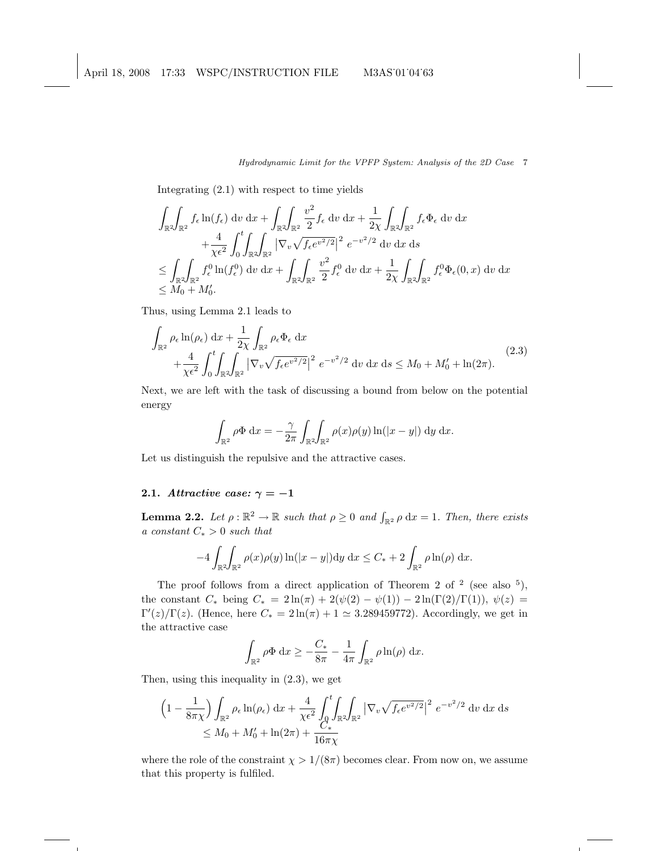Integrating (2.1) with respect to time yields

$$
\int_{\mathbb{R}^2} \int_{\mathbb{R}^2} f_{\epsilon} \ln(f_{\epsilon}) \, dv \, dx + \int_{\mathbb{R}^2} \int_{\mathbb{R}^2} \frac{v^2}{2} f_{\epsilon} \, dv \, dx + \frac{1}{2\chi} \int_{\mathbb{R}^2} \int_{\mathbb{R}^2} f_{\epsilon} \Phi_{\epsilon} \, dv \, dx \n+ \frac{4}{\chi \epsilon^2} \int_0^t \int_{\mathbb{R}^2} \int_{\mathbb{R}^2} |\nabla_v \sqrt{f_{\epsilon} e^{v^2/2}}|^2 e^{-v^2/2} \, dv \, dx \, ds \n\leq \int_{\mathbb{R}^2} \int_{\mathbb{R}^2} f_{\epsilon}^0 \ln(f_{\epsilon}^0) \, dv \, dx + \int_{\mathbb{R}^2} \int_{\mathbb{R}^2} \frac{v^2}{2} f_{\epsilon}^0 \, dv \, dx + \frac{1}{2\chi} \int_{\mathbb{R}^2} \int_{\mathbb{R}^2} f_{\epsilon}^0 \Phi_{\epsilon}(0, x) \, dv \, dx \n\leq M_0 + M'_0.
$$

Thus, using Lemma 2.1 leads to

$$
\int_{\mathbb{R}^2} \rho_{\epsilon} \ln(\rho_{\epsilon}) dx + \frac{1}{2\chi} \int_{\mathbb{R}^2} \rho_{\epsilon} \Phi_{\epsilon} dx \n+ \frac{4}{\chi \epsilon^2} \int_0^t \int_{\mathbb{R}^2} \int_{\mathbb{R}^2} |\nabla_v \sqrt{f_{\epsilon} e^{v^2/2}}|^2 e^{-v^2/2} dv dx ds \le M_0 + M'_0 + \ln(2\pi).
$$
\n(2.3)

Next, we are left with the task of discussing a bound from below on the potential energy

$$
\int_{\mathbb{R}^2} \rho \Phi \, dx = -\frac{\gamma}{2\pi} \int_{\mathbb{R}^2} \int_{\mathbb{R}^2} \rho(x) \rho(y) \ln(|x-y|) \, dy \, dx.
$$

Let us distinguish the repulsive and the attractive cases.

# 2.1. Attractive case:  $\gamma = -1$

**Lemma 2.2.** Let  $\rho : \mathbb{R}^2 \to \mathbb{R}$  such that  $\rho \geq 0$  and  $\int_{\mathbb{R}^2} \rho \, dx = 1$ . Then, there exists a constant  $C_* > 0$  such that

$$
-4\int_{\mathbb{R}^2}\!\int_{\mathbb{R}^2}\rho(x)\rho(y)\ln(|x-y|)dy\,\mathrm{d}x \leq C_* + 2\int_{\mathbb{R}^2}\rho\ln(\rho)\,\mathrm{d}x.
$$

The proof follows from a direct application of Theorem 2 of  $2 \text{ (see also 5)}$ , the constant  $C_*$  being  $C_* = 2 \ln(\pi) + 2(\psi(2) - \psi(1)) - 2 \ln(\Gamma(2)/\Gamma(1)), \psi(z) =$  $\Gamma'(z)/\Gamma(z)$ . (Hence, here  $C_* = 2\ln(\pi) + 1 \simeq 3.289459772$ ). Accordingly, we get in the attractive case

$$
\int_{\mathbb{R}^2} \rho \Phi \, \mathrm{d}x \ge -\frac{C_*}{8\pi} - \frac{1}{4\pi} \int_{\mathbb{R}^2} \rho \ln(\rho) \, \mathrm{d}x.
$$

Then, using this inequality in (2.3), we get

$$
\left(1 - \frac{1}{8\pi\chi}\right) \int_{\mathbb{R}^2} \rho_\epsilon \ln(\rho_\epsilon) \,dx + \frac{4}{\chi\epsilon^2} \int_0^t \int_{\mathbb{R}^2} \int_{\mathbb{R}^2} \left|\nabla_v \sqrt{f_\epsilon e^{v^2/2}}\right|^2 \, e^{-v^2/2} \,dv \,dx \,ds
$$
  
\$\leq M\_0 + M'\_0 + \ln(2\pi) + \frac{C\_\*}{16\pi\chi}\$

where the role of the constraint  $\chi > 1/(8\pi)$  becomes clear. From now on, we assume that this property is fulfiled.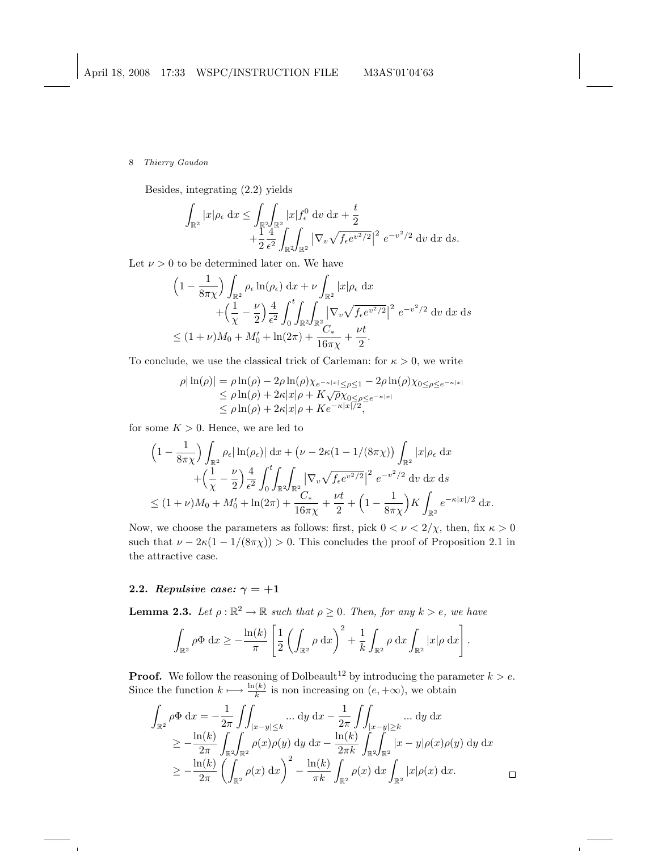Besides, integrating (2.2) yields

$$
\int_{\mathbb{R}^2} |x| \rho_{\epsilon} dx \le \int_{\mathbb{R}^2} \int_{\mathbb{R}^2} |x| f_{\epsilon}^0 dv dx + \frac{t}{2} \n+ \frac{1}{2} \frac{4}{\epsilon^2} \int_{\mathbb{R}^2} \int_{\mathbb{R}^2} |\nabla_v \sqrt{f_{\epsilon} e^{v^2/2}}|^2 e^{-v^2/2} dv dx ds.
$$

Let  $\nu > 0$  to be determined later on. We have

$$
\begin{split} & \left(1 - \frac{1}{8\pi\chi}\right) \int_{\mathbb{R}^2} \rho_\epsilon \ln(\rho_\epsilon) \, \mathrm{d}x + \nu \int_{\mathbb{R}^2} |x| \rho_\epsilon \, \mathrm{d}x \\ &+ \left(\frac{1}{\chi} - \frac{\nu}{2}\right) \frac{4}{\epsilon^2} \int_0^t \int_{\mathbb{R}^2} \int_{\mathbb{R}^2} \left|\nabla_v \sqrt{f_\epsilon e^{v^2/2}}\right|^2 \, e^{-v^2/2} \, \mathrm{d}v \, \mathrm{d}x \, \mathrm{d}s \\ &\leq (1 + \nu) M_0 + M_0' + \ln(2\pi) + \frac{C_*}{16\pi\chi} + \frac{\nu t}{2}. \end{split}
$$

To conclude, we use the classical trick of Carleman: for  $\kappa > 0$ , we write

$$
\rho|\ln(\rho)| = \rho \ln(\rho) - 2\rho \ln(\rho) \chi_{e^{-\kappa|x|} \le \rho \le 1} - 2\rho \ln(\rho) \chi_{0 \le \rho \le e^{-\kappa|x|}}
$$
  
\n
$$
\le \rho \ln(\rho) + 2\kappa|x|\rho + K\sqrt{\rho} \chi_{0 \le \rho \le e^{-\kappa|x|}}
$$
  
\n
$$
\le \rho \ln(\rho) + 2\kappa|x|\rho + Ke^{-\kappa|x|/2},
$$

for some  $K > 0$ . Hence, we are led to

$$
\left(1 - \frac{1}{8\pi\chi}\right) \int_{\mathbb{R}^2} \rho_{\epsilon} |\ln(\rho_{\epsilon})| dx + \left(\nu - 2\kappa(1 - 1/(8\pi\chi))\int_{\mathbb{R}^2} |x| \rho_{\epsilon} dx \n+ \left(\frac{1}{\chi} - \frac{\nu}{2}\right) \frac{4}{\epsilon^2} \int_0^t \int_{\mathbb{R}^2} |\nabla_v \sqrt{f_{\epsilon} e^{v^2/2}}|^2 e^{-v^2/2} dv dx ds \n\leq (1 + \nu)M_0 + M'_0 + \ln(2\pi) + \frac{\nu t}{16\pi\chi} + \frac{\nu t}{2} + \left(1 - \frac{1}{8\pi\chi}\right)K \int_{\mathbb{R}^2} e^{-\kappa|x|/2} dx.
$$

Now, we choose the parameters as follows: first, pick  $0 < \nu < 2/\chi$ , then, fix  $\kappa > 0$ such that  $\nu - 2\kappa(1 - 1/(8\pi\chi)) > 0$ . This concludes the proof of Proposition 2.1 in the attractive case.

# 2.2. Repulsive case:  $\gamma = +1$

**Lemma 2.3.** Let  $\rho : \mathbb{R}^2 \to \mathbb{R}$  such that  $\rho \geq 0$ . Then, for any  $k > e$ , we have

$$
\int_{\mathbb{R}^2} \rho \Phi \, dx \ge -\frac{\ln(k)}{\pi} \left[ \frac{1}{2} \left( \int_{\mathbb{R}^2} \rho \, dx \right)^2 + \frac{1}{k} \int_{\mathbb{R}^2} \rho \, dx \int_{\mathbb{R}^2} |x| \rho \, dx \right].
$$

**Proof.** We follow the reasoning of Dolbeault<sup>12</sup> by introducing the parameter  $k > e$ . Since the function  $k \mapsto \frac{\ln(k)}{k}$  is non increasing on  $(e, +\infty)$ , we obtain

$$
\int_{\mathbb{R}^2} \rho \Phi \, dx = -\frac{1}{2\pi} \int \int_{|x-y| \le k} \dots \, dy \, dx - \frac{1}{2\pi} \int \int_{|x-y| \ge k} \dots \, dy \, dx \n\ge -\frac{\ln(k)}{2\pi} \int_{\mathbb{R}^2} \int_{\mathbb{R}^2} \rho(x) \rho(y) \, dy \, dx - \frac{\ln(k)}{2\pi k} \int_{\mathbb{R}^2} \int_{\mathbb{R}^2} |x-y| \rho(x) \rho(y) \, dy \, dx \n\ge -\frac{\ln(k)}{2\pi} \left( \int_{\mathbb{R}^2} \rho(x) \, dx \right)^2 - \frac{\ln(k)}{\pi k} \int_{\mathbb{R}^2} \rho(x) \, dx \int_{\mathbb{R}^2} |x| \rho(x) \, dx.
$$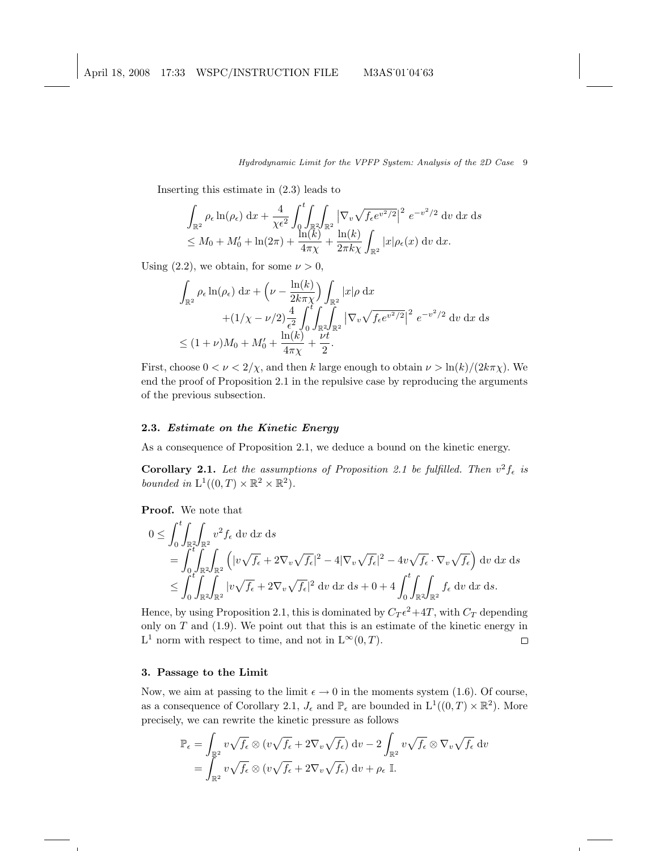Inserting this estimate in (2.3) leads to

$$
\int_{\mathbb{R}^2} \rho_{\epsilon} \ln(\rho_{\epsilon}) dx + \frac{4}{\chi \epsilon^2} \int_0^t \int_{\mathbb{R}^2} \sqrt{\int_{\mathbb{R}^2} |\nabla_v \sqrt{f_{\epsilon} e^{v^2/2}}|^2} e^{-v^2/2} dv dx ds
$$
  
\n
$$
\leq M_0 + M'_0 + \ln(2\pi) + \frac{\ln(k)}{4\pi\chi} + \frac{\ln(k)}{2\pi k\chi} \int_{\mathbb{R}^2} |x| \rho_{\epsilon}(x) dv dx.
$$

Using (2.2), we obtain, for some  $\nu > 0$ ,

$$
\int_{\mathbb{R}^2} \rho_{\epsilon} \ln(\rho_{\epsilon}) dx + \left(\nu - \frac{\ln(k)}{2k\pi\chi}\right) \int_{\mathbb{R}^2} |x| \rho dx \n+ (1/\chi - \nu/2) \frac{4}{\epsilon^2} \int_0^t \int_{\mathbb{R}^2} \int_{\mathbb{R}^2} |\nabla_v \sqrt{f_{\epsilon} e^{v^2/2}}|^2 e^{-v^2/2} dv dx ds \n\le (1+\nu)M_0 + M'_0 + \frac{\ln(k)}{4\pi\chi} + \frac{\nu t}{2}.
$$

First, choose  $0 < \nu < 2/\chi$ , and then k large enough to obtain  $\nu > \ln(k)/(2k\pi\chi)$ . We end the proof of Proposition 2.1 in the repulsive case by reproducing the arguments of the previous subsection.

## 2.3. Estimate on the Kinetic Energy

As a consequence of Proposition 2.1, we deduce a bound on the kinetic energy.

**Corollary 2.1.** Let the assumptions of Proposition 2.1 be fulfilled. Then  $v^2 f_{\epsilon}$  is bounded in  $L^1((0,T) \times \mathbb{R}^2 \times \mathbb{R}^2)$ .

Proof. We note that

$$
0 \leq \int_0^t \int_{\mathbb{R}^2} \int_{\mathbb{R}^2} v^2 f_{\epsilon} dv dx ds
$$
  
= 
$$
\int_0^t \int_{\mathbb{R}^2} \int_{\mathbb{R}^2} (|v \sqrt{f_{\epsilon}} + 2 \nabla_v \sqrt{f_{\epsilon}}|^2 - 4 |\nabla_v \sqrt{f_{\epsilon}}|^2 - 4 v \sqrt{f_{\epsilon}} \cdot \nabla_v \sqrt{f_{\epsilon}}) dv dx ds
$$
  

$$
\leq \int_0^t \int_{\mathbb{R}^2} \int_{\mathbb{R}^2} |v \sqrt{f_{\epsilon}} + 2 \nabla_v \sqrt{f_{\epsilon}}|^2 dv dx ds + 0 + 4 \int_0^t \int_{\mathbb{R}^2} \int_{\mathbb{R}^2} f_{\epsilon} dv dx ds.
$$

Hence, by using Proposition 2.1, this is dominated by  $C_T \epsilon^2 + 4T$ , with  $C_T$  depending only on  $T$  and  $(1.9)$ . We point out that this is an estimate of the kinetic energy in  $L^1$  norm with respect to time, and not in  $L^{\infty}(0,T)$ .  $\Box$ 

# 3. Passage to the Limit

Now, we aim at passing to the limit  $\epsilon \to 0$  in the moments system (1.6). Of course, as a consequence of Corollary 2.1,  $J_{\epsilon}$  and  $\mathbb{P}_{\epsilon}$  are bounded in  $L^1((0,T)\times\mathbb{R}^2)$ . More precisely, we can rewrite the kinetic pressure as follows

$$
\mathbb{P}_{\epsilon} = \int_{\mathbb{R}^2} v \sqrt{f_{\epsilon}} \otimes (v \sqrt{f_{\epsilon}} + 2 \nabla_v \sqrt{f_{\epsilon}}) dv - 2 \int_{\mathbb{R}^2} v \sqrt{f_{\epsilon}} \otimes \nabla_v \sqrt{f_{\epsilon}} dv
$$
  
= 
$$
\int_{\mathbb{R}^2} v \sqrt{f_{\epsilon}} \otimes (v \sqrt{f_{\epsilon}} + 2 \nabla_v \sqrt{f_{\epsilon}}) dv + \rho_{\epsilon} \mathbb{I}.
$$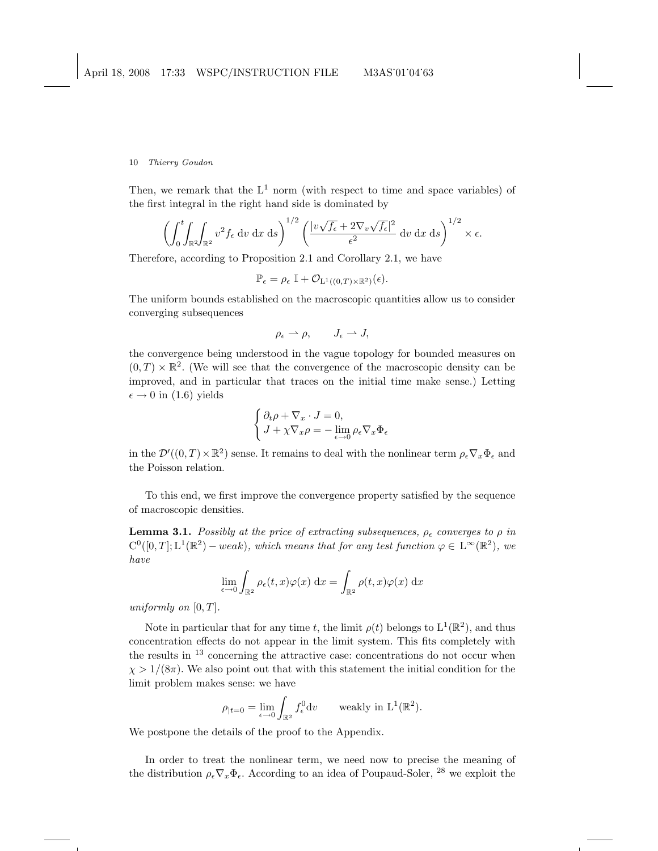Then, we remark that the  $L^1$  norm (with respect to time and space variables) of the first integral in the right hand side is dominated by

$$
\left(\int_0^t \int_{\mathbb{R}^2} \int_{\mathbb{R}^2} v^2 f_{\epsilon} \, \mathrm{d}v \, \mathrm{d}x \, \mathrm{d}s\right)^{1/2} \left(\frac{|v\sqrt{f_{\epsilon}} + 2\nabla_v \sqrt{f_{\epsilon}}|^2}{\epsilon^2} \, \mathrm{d}v \, \mathrm{d}x \, \mathrm{d}s\right)^{1/2} \times \epsilon.
$$

Therefore, according to Proposition 2.1 and Corollary 2.1, we have

$$
\mathbb{P}_{\epsilon} = \rho_{\epsilon} \mathbb{I} + \mathcal{O}_{L^{1}((0,T)\times\mathbb{R}^{2})}(\epsilon).
$$

The uniform bounds established on the macroscopic quantities allow us to consider converging subsequences

$$
\rho_{\epsilon} \rightharpoonup \rho, \qquad J_{\epsilon} \rightharpoonup J,
$$

the convergence being understood in the vague topology for bounded measures on  $(0, T) \times \mathbb{R}^2$ . (We will see that the convergence of the macroscopic density can be improved, and in particular that traces on the initial time make sense.) Letting  $\epsilon \rightarrow 0$  in (1.6) yields

$$
\begin{cases} \partial_t \rho + \nabla_x \cdot J = 0, \\ J + \chi \nabla_x \rho = -\lim_{\epsilon \to 0} \rho_\epsilon \nabla_x \Phi_\epsilon \end{cases}
$$

in the  $\mathcal{D}'((0,T)\times\mathbb{R}^2)$  sense. It remains to deal with the nonlinear term  $\rho_\epsilon\nabla_x\Phi_\epsilon$  and the Poisson relation.

To this end, we first improve the convergence property satisfied by the sequence of macroscopic densities.

**Lemma 3.1.** Possibly at the price of extracting subsequences,  $\rho_{\epsilon}$  converges to  $\rho$  in  $C^0([0,T]; L^1(\mathbb{R}^2) - weak)$ , which means that for any test function  $\varphi \in L^{\infty}(\mathbb{R}^2)$ , we have

$$
\lim_{\epsilon \to 0} \int_{\mathbb{R}^2} \rho_{\epsilon}(t, x) \varphi(x) dx = \int_{\mathbb{R}^2} \rho(t, x) \varphi(x) dx
$$

uniformly on  $[0, T]$ .

Note in particular that for any time t, the limit  $\rho(t)$  belongs to  $L^1(\mathbb{R}^2)$ , and thus concentration effects do not appear in the limit system. This fits completely with the results in  $13$  concerning the attractive case: concentrations do not occur when  $\chi > 1/(8\pi)$ . We also point out that with this statement the initial condition for the limit problem makes sense: we have

$$
\rho_{|t=0} = \lim_{\epsilon \to 0} \int_{\mathbb{R}^2} f_{\epsilon}^0 \mathrm{d}v \qquad \text{weakly in } \mathrm{L}^1(\mathbb{R}^2).
$$

We postpone the details of the proof to the Appendix.

In order to treat the nonlinear term, we need now to precise the meaning of the distribution  $\rho_\epsilon \nabla_x \Phi_\epsilon$ . According to an idea of Poupaud-Soler, <sup>28</sup> we exploit the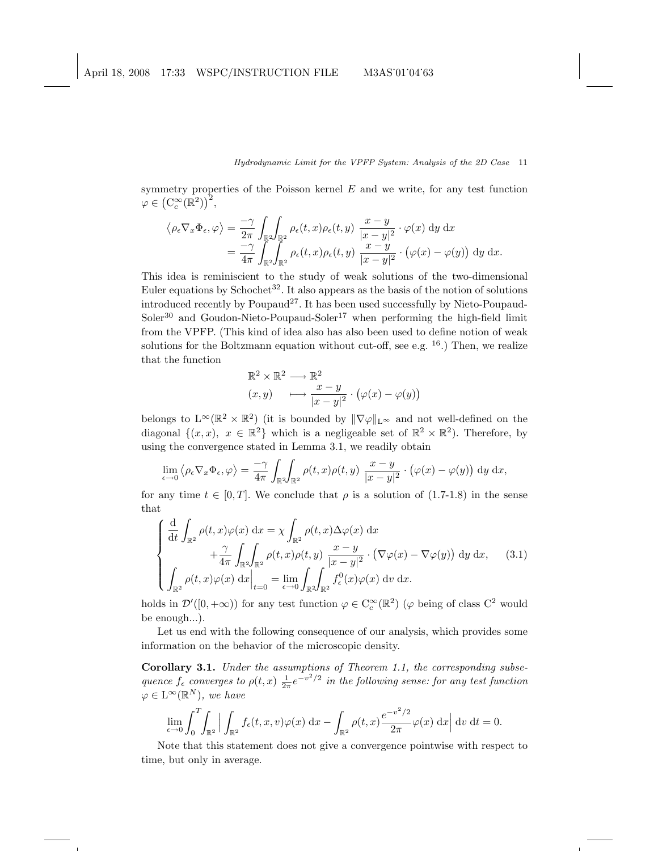symmetry properties of the Poisson kernel  $E$  and we write, for any test function  $\varphi \in (\mathrm{C}_c^\infty(\mathbb{R}^2))^2,$ 

$$
\langle \rho_{\epsilon} \nabla_x \Phi_{\epsilon}, \varphi \rangle = \frac{-\gamma}{2\pi} \int_{\mathbb{R}^2} \int_{\mathbb{R}^2} \rho_{\epsilon}(t, x) \rho_{\epsilon}(t, y) \frac{x - y}{|x - y|^2} \cdot \varphi(x) dy dx
$$
  
= 
$$
\frac{-\gamma}{4\pi} \int_{\mathbb{R}^2} \int_{\mathbb{R}^2} \rho_{\epsilon}(t, x) \rho_{\epsilon}(t, y) \frac{x - y}{|x - y|^2} \cdot (\varphi(x) - \varphi(y)) dy dx.
$$

This idea is reminiscient to the study of weak solutions of the two-dimensional Euler equations by Schochet<sup>32</sup>. It also appears as the basis of the notion of solutions introduced recently by Poupaud<sup>27</sup>. It has been used successfully by Nieto-Poupaud- $Soler<sup>30</sup>$  and Goudon-Nieto-Poupaud-Soler<sup>17</sup> when performing the high-field limit from the VPFP. (This kind of idea also has also been used to define notion of weak solutions for the Boltzmann equation without cut-off, see e.g.  $^{16}$ .) Then, we realize that the function

$$
\mathbb{R}^2 \times \mathbb{R}^2 \longrightarrow \mathbb{R}^2
$$
  
(x, y) 
$$
\longmapsto \frac{x - y}{|x - y|^2} \cdot (\varphi(x) - \varphi(y))
$$

belongs to  $L^{\infty}(\mathbb{R}^2 \times \mathbb{R}^2)$  (it is bounded by  $\|\nabla \varphi\|_{L^{\infty}}$  and not well-defined on the diagonal  $\{(x, x), x \in \mathbb{R}^2\}$  which is a negligeable set of  $\mathbb{R}^2 \times \mathbb{R}^2$ . Therefore, by using the convergence stated in Lemma 3.1, we readily obtain

$$
\lim_{\epsilon \to 0} \langle \rho_{\epsilon} \nabla_x \Phi_{\epsilon}, \varphi \rangle = \frac{-\gamma}{4\pi} \int_{\mathbb{R}^2} \int_{\mathbb{R}^2} \rho(t, x) \rho(t, y) \frac{x - y}{|x - y|^2} \cdot (\varphi(x) - \varphi(y)) dy dx,
$$

for any time  $t \in [0, T]$ . We conclude that  $\rho$  is a solution of (1.7-1.8) in the sense that

$$
\begin{cases} \frac{\mathrm{d}}{\mathrm{d}t} \int_{\mathbb{R}^2} \rho(t,x)\varphi(x) \, \mathrm{d}x = \chi \int_{\mathbb{R}^2} \rho(t,x)\Delta\varphi(x) \, \mathrm{d}x \\ \qquad + \frac{\gamma}{4\pi} \int_{\mathbb{R}^2} \int_{\mathbb{R}^2} \rho(t,x)\rho(t,y) \, \frac{x-y}{|x-y|^2} \cdot (\nabla\varphi(x) - \nabla\varphi(y)) \, \mathrm{d}y \, \mathrm{d}x, \qquad (3.1) \\ \int_{\mathbb{R}^2} \rho(t,x)\varphi(x) \, \mathrm{d}x \Big|_{t=0} = \lim_{\epsilon \to 0} \int_{\mathbb{R}^2} \int_{\mathbb{R}^2} f_{\epsilon}^0(x)\varphi(x) \, \mathrm{d}v \, \mathrm{d}x. \end{cases}
$$

holds in  $\mathcal{D}'([0, +\infty))$  for any test function  $\varphi \in C_c^{\infty}(\mathbb{R}^2)$  ( $\varphi$  being of class  $C^2$  would be enough...).

Let us end with the following consequence of our analysis, which provides some information on the behavior of the microscopic density.

Corollary 3.1. Under the assumptions of Theorem 1.1, the corresponding subsequence  $f_{\epsilon}$  converges to  $\rho(t,x) \frac{1}{2\pi} e^{-v^2/2}$  in the following sense: for any test function  $\varphi \in L^{\infty}(\mathbb{R}^N)$ , we have

$$
\lim_{\epsilon \to 0} \int_0^T \int_{\mathbb{R}^2} \left| \int_{\mathbb{R}^2} f_{\epsilon}(t, x, v) \varphi(x) \, dx - \int_{\mathbb{R}^2} \rho(t, x) \frac{e^{-v^2/2}}{2\pi} \varphi(x) \, dx \right| dv \, dt = 0.
$$

Note that this statement does not give a convergence pointwise with respect to time, but only in average.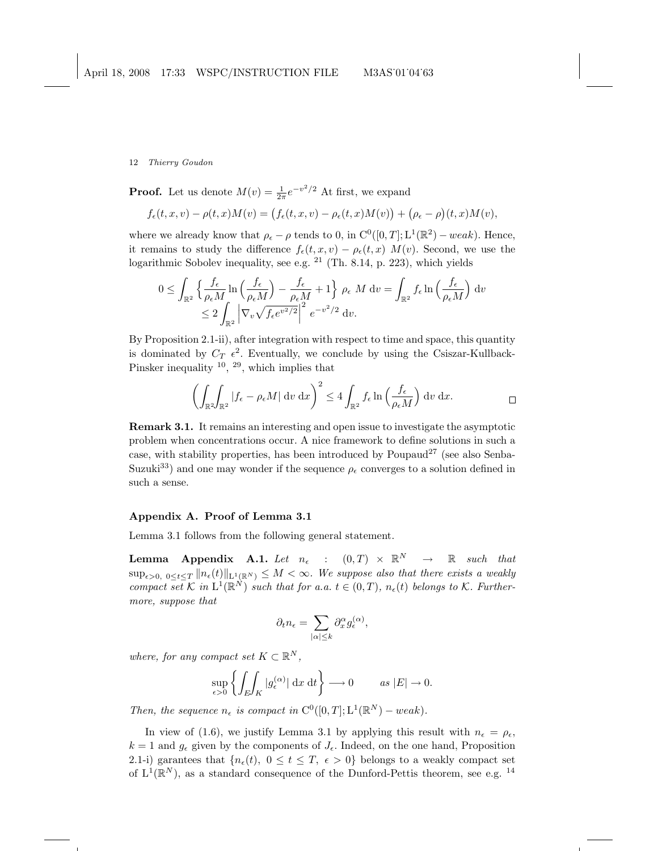**Proof.** Let us denote  $M(v) = \frac{1}{2\pi}e^{-v^2/2}$  At first, we expand

$$
f_{\epsilon}(t,x,v) - \rho(t,x)M(v) = (f_{\epsilon}(t,x,v) - \rho_{\epsilon}(t,x)M(v)) + (\rho_{\epsilon} - \rho)(t,x)M(v),
$$

where we already know that  $\rho_{\epsilon} - \rho$  tends to 0, in  $C^{0}([0, T]; L^{1}(\mathbb{R}^{2}) - weak)$ . Hence, it remains to study the difference  $f_{\epsilon}(t, x, v) - \rho_{\epsilon}(t, x) M(v)$ . Second, we use the logarithmic Sobolev inequality, see e.g.  $21$  (Th. 8.14, p. 223), which yields

$$
0 \leq \int_{\mathbb{R}^2} \left\{ \frac{f_{\epsilon}}{\rho_{\epsilon} M} \ln \left( \frac{f_{\epsilon}}{\rho_{\epsilon} M} \right) - \frac{f_{\epsilon}}{\rho_{\epsilon} M} + 1 \right\} \rho_{\epsilon} M \, dv = \int_{\mathbb{R}^2} f_{\epsilon} \ln \left( \frac{f_{\epsilon}}{\rho_{\epsilon} M} \right) dv
$$
  

$$
\leq 2 \int_{\mathbb{R}^2} \left| \nabla_v \sqrt{f_{\epsilon} e^{v^2/2}} \right|^2 e^{-v^2/2} dv.
$$

By Proposition 2.1-ii), after integration with respect to time and space, this quantity is dominated by  $C_T$   $\epsilon^2$ . Eventually, we conclude by using the Csiszar-Kullback-Pinsker inequality  $^{10}$ ,  $^{29}$ , which implies that

$$
\left(\int_{\mathbb{R}^2} \int_{\mathbb{R}^2} |f_{\epsilon} - \rho_{\epsilon} M| \, \mathrm{d}v \, \mathrm{d}x\right)^2 \le 4 \int_{\mathbb{R}^2} f_{\epsilon} \ln\left(\frac{f_{\epsilon}}{\rho_{\epsilon} M}\right) \, \mathrm{d}v \, \mathrm{d}x. \qquad \qquad \Box
$$

Remark 3.1. It remains an interesting and open issue to investigate the asymptotic problem when concentrations occur. A nice framework to define solutions in such a case, with stability properties, has been introduced by Poupaud<sup>27</sup> (see also Senba-Suzuki<sup>33</sup>) and one may wonder if the sequence  $\rho_{\epsilon}$  converges to a solution defined in such a sense.

### Appendix A. Proof of Lemma 3.1

Lemma 3.1 follows from the following general statement.

**Lemma Appendix A.1.** Let  $n_{\epsilon}$  :  $(0,T) \times \mathbb{R}^N \rightarrow \mathbb{R}$  such that  $\sup_{\epsilon>0, 0\leq t\leq T} \|n_{\epsilon}(t)\|_{L^{1}(\mathbb{R}^{N})} \leq M < \infty$ . We suppose also that there exists a weakly compact set K in  $L^1(\mathbb{R}^N)$  such that for a.a.  $t \in (0,T)$ ,  $n_{\epsilon}(t)$  belongs to K. Furthermore, suppose that

$$
\partial_t n_{\epsilon} = \sum_{|\alpha| \leq k} \partial_x^{\alpha} g_{\epsilon}^{(\alpha)},
$$

where, for any compact set  $K \subset \mathbb{R}^N$ ,

$$
\sup_{\epsilon>0} \left\{ \int_E \int_K |g_{\epsilon}^{(\alpha)}| \, \mathrm{d}x \, \mathrm{d}t \right\} \longrightarrow 0 \qquad \text{as } |E| \to 0.
$$

Then, the sequence  $n_{\epsilon}$  is compact in  $C^0([0,T]; L^1(\mathbb{R}^N) - weak)$ .

In view of (1.6), we justify Lemma 3.1 by applying this result with  $n_{\epsilon} = \rho_{\epsilon}$ ,  $k = 1$  and  $g_{\epsilon}$  given by the components of  $J_{\epsilon}$ . Indeed, on the one hand, Proposition 2.1-i) garantees that  $\{n_{\epsilon}(t), 0 \leq t \leq T, \epsilon > 0\}$  belongs to a weakly compact set of  $L^1(\mathbb{R}^N)$ , as a standard consequence of the Dunford-Pettis theorem, see e.g. <sup>14</sup>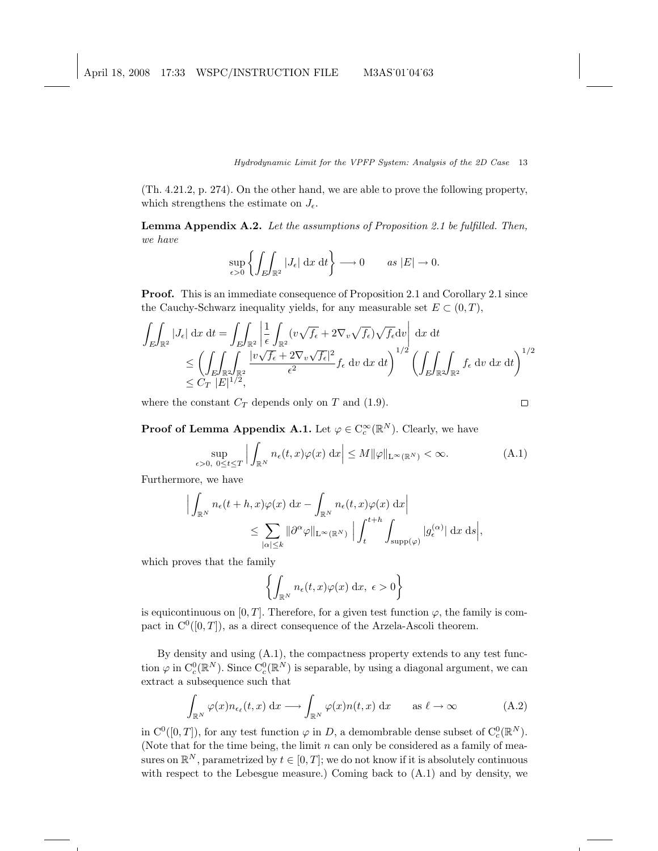(Th. 4.21.2, p. 274). On the other hand, we are able to prove the following property, which strengthens the estimate on  $J_{\epsilon}$ .

Lemma Appendix A.2. Let the assumptions of Proposition 2.1 be fulfilled. Then, we have

$$
\sup_{\epsilon>0}\left\{\int_E\!\!\int_{\mathbb{R}^2}|J_{\epsilon}|\,\mathrm{d}x\,\mathrm{d}t\right\}\longrightarrow 0\qquad\text{as }|E|\to 0.
$$

Proof. This is an immediate consequence of Proposition 2.1 and Corollary 2.1 since the Cauchy-Schwarz inequality yields, for any measurable set  $E \subset (0, T)$ ,

$$
\int_{E} \int_{\mathbb{R}^2} |J_{\epsilon}| \, dx \, dt = \int_{E} \int_{\mathbb{R}^2} \left| \frac{1}{\epsilon} \int_{\mathbb{R}^2} (v \sqrt{f_{\epsilon}} + 2 \nabla_v \sqrt{f_{\epsilon}}) \sqrt{f_{\epsilon}} dv \right| \, dx \, dt
$$
\n
$$
\leq \left( \int_{E} \int_{\mathbb{R}^2} \int_{\mathbb{R}^2} \frac{|v \sqrt{f_{\epsilon}} + 2 \nabla_v \sqrt{f_{\epsilon}}|^2}{\epsilon^2} f_{\epsilon} \, dv \, dx \, dt \right)^{1/2} \left( \int_{E} \int_{\mathbb{R}^2} \int_{\mathbb{R}^2} f_{\epsilon} \, dv \, dx \, dt \right)^{1/2}
$$
\n
$$
\leq C_T |E|^{1/2},
$$

where the constant  $C_T$  depends only on T and (1.9).

$$
\qquad \qquad \Box
$$

**Proof of Lemma Appendix A.1.** Let  $\varphi \in C_c^{\infty}(\mathbb{R}^N)$ . Clearly, we have

$$
\sup_{\epsilon>0, 0\le t\le T} \left| \int_{\mathbb{R}^N} n_{\epsilon}(t, x)\varphi(x) \, \mathrm{d}x \right| \le M \|\varphi\|_{\mathcal{L}^{\infty}(\mathbb{R}^N)} < \infty. \tag{A.1}
$$

Furthermore, we have

$$
\left| \int_{\mathbb{R}^N} n_{\epsilon}(t+h,x) \varphi(x) dx - \int_{\mathbb{R}^N} n_{\epsilon}(t,x) \varphi(x) dx \right|
$$
  

$$
\leq \sum_{|\alpha| \leq k} ||\partial^{\alpha} \varphi||_{\mathcal{L}^{\infty}(\mathbb{R}^N)} \left| \int_t^{t+h} \int_{\text{supp}(\varphi)} |g_{\epsilon}^{(\alpha)}| dx ds \right|,
$$

which proves that the family

$$
\left\{ \int_{\mathbb{R}^N} n_{\epsilon}(t,x) \varphi(x) \, \mathrm{d}x, \ \epsilon > 0 \right\}
$$

is equicontinuous on [0, T]. Therefore, for a given test function  $\varphi$ , the family is compact in  $C^0([0,T])$ , as a direct consequence of the Arzela-Ascoli theorem.

By density and using (A.1), the compactness property extends to any test function  $\varphi$  in  $C_c^0(\mathbb{R}^N)$ . Since  $C_c^0(\mathbb{R}^N)$  is separable, by using a diagonal argument, we can extract a subsequence such that

$$
\int_{\mathbb{R}^N} \varphi(x) n_{\epsilon_\ell}(t, x) \, \mathrm{d}x \longrightarrow \int_{\mathbb{R}^N} \varphi(x) n(t, x) \, \mathrm{d}x \qquad \text{as } \ell \to \infty \tag{A.2}
$$

in  $C^0([0,T])$ , for any test function  $\varphi$  in D, a demombrable dense subset of  $C_c^0(\mathbb{R}^N)$ . (Note that for the time being, the limit  $n$  can only be considered as a family of measures on  $\mathbb{R}^N$ , parametrized by  $t \in [0, T]$ ; we do not know if it is absolutely continuous with respect to the Lebesgue measure.) Coming back to (A.1) and by density, we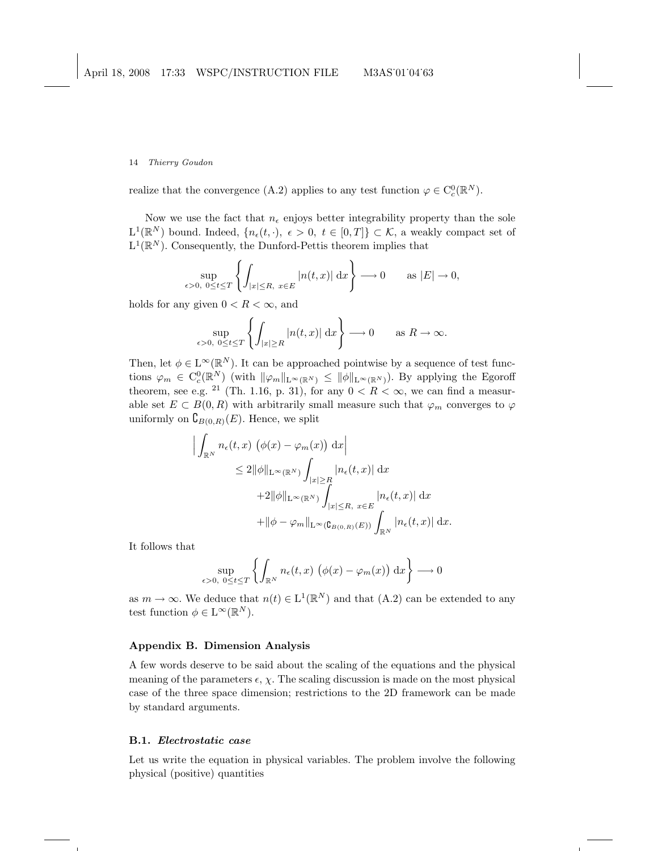realize that the convergence (A.2) applies to any test function  $\varphi \in C_c^0(\mathbb{R}^N)$ .

Now we use the fact that  $n_{\epsilon}$  enjoys better integrability property than the sole  $L^1(\mathbb{R}^N)$  bound. Indeed,  $\{n_{\epsilon}(t, \cdot), \epsilon > 0, t \in [0,T]\} \subset \mathcal{K}$ , a weakly compact set of  $L^1(\mathbb{R}^N)$ . Consequently, the Dunford-Pettis theorem implies that

$$
\sup_{\epsilon>0, 0\leq t\leq T}\left\{\int_{|x|\leq R, x\in E}|n(t,x)| dx\right\}\longrightarrow 0 \quad \text{as } |E|\to 0,
$$

holds for any given  $0 < R < \infty$ , and

$$
\sup_{\epsilon>0, 0\leq t\leq T}\left\{\int_{|x|\geq R}|n(t,x)|\,\mathrm{d}x\right\}\longrightarrow 0\qquad\text{as }R\to\infty.
$$

Then, let  $\phi \in L^{\infty}(\mathbb{R}^N)$ . It can be approached pointwise by a sequence of test functions  $\varphi_m \in C_c^0(\mathbb{R}^N)$  (with  $\|\varphi_m\|_{L^{\infty}(\mathbb{R}^N)} \leq \|\phi\|_{L^{\infty}(\mathbb{R}^N)}$ ). By applying the Egoroff theorem, see e.g. <sup>21</sup> (Th. 1.16, p. 31), for any  $0 < R < \infty$ , we can find a measurable set  $E \subset B(0, R)$  with arbitrarily small measure such that  $\varphi_m$  converges to  $\varphi$ uniformly on  ${\mathsf C}_{B(0,R)}(E)$ . Hence, we split

$$
\left| \int_{\mathbb{R}^N} n_{\epsilon}(t,x) \left( \phi(x) - \varphi_m(x) \right) dx \right|
$$
  
\n
$$
\leq 2 \|\phi\|_{\mathcal{L}^{\infty}(\mathbb{R}^N)} \int_{|x| \geq R} |n_{\epsilon}(t,x)| dx
$$
  
\n
$$
+ 2 \|\phi\|_{\mathcal{L}^{\infty}(\mathbb{R}^N)} \int_{|x| \leq R, x \in E} |n_{\epsilon}(t,x)| dx
$$
  
\n
$$
+ \|\phi - \varphi_m\|_{\mathcal{L}^{\infty}(\mathbb{G}_{B(0,R)}(E))} \int_{\mathbb{R}^N} |n_{\epsilon}(t,x)| dx.
$$

It follows that

$$
\sup_{\epsilon>0, 0\leq t\leq T}\left\{\int_{\mathbb{R}^N}n_{\epsilon}(t,x)\,\left(\phi(x)-\varphi_m(x)\right)\,\mathrm{d}x\right\}\longrightarrow 0
$$

as  $m \to \infty$ . We deduce that  $n(t) \in L^1(\mathbb{R}^N)$  and that  $(A.2)$  can be extended to any test function  $\phi \in L^{\infty}(\mathbb{R}^N)$ .

### Appendix B. Dimension Analysis

A few words deserve to be said about the scaling of the equations and the physical meaning of the parameters  $\epsilon$ ,  $\chi$ . The scaling discussion is made on the most physical case of the three space dimension; restrictions to the 2D framework can be made by standard arguments.

### B.1. Electrostatic case

Let us write the equation in physical variables. The problem involve the following physical (positive) quantities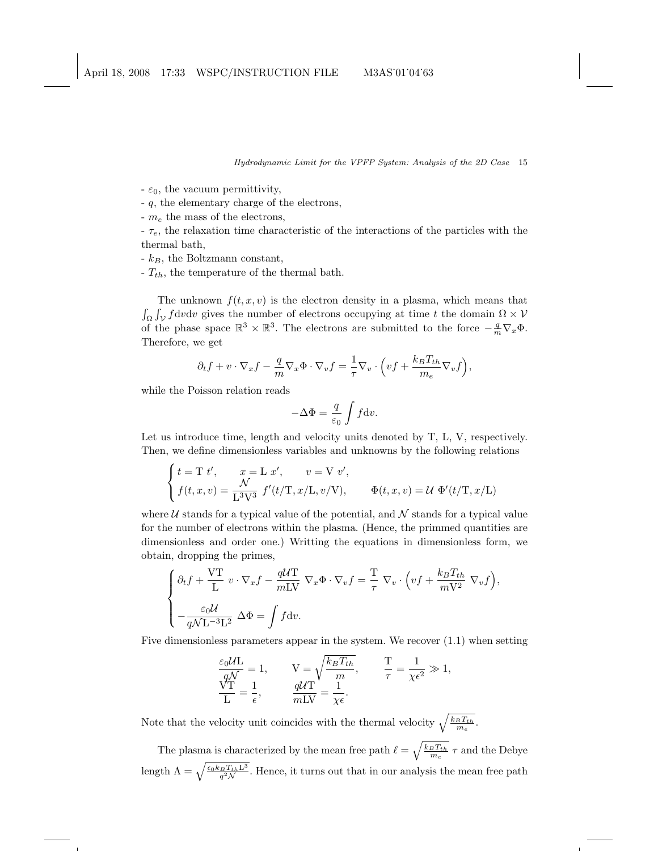$-\varepsilon_0$ , the vacuum permittivity,

- q, the elementary charge of the electrons,

 $-m_e$  the mass of the electrons,

 $-\tau_e$ , the relaxation time characteristic of the interactions of the particles with the thermal bath,

 $-k_B$ , the Boltzmann constant,

 $-T_{th}$ , the temperature of the thermal bath.

The unknown  $f(t, x, v)$  is the electron density in a plasma, which means that  $\int_{\Omega} \int_{\mathcal{V}} f \mathrm{d} v \mathrm{d} v$  gives the number of electrons occupying at time t the domain  $\Omega \times \mathcal{V}$ of the phase space  $\mathbb{R}^3 \times \mathbb{R}^3$ . The electrons are submitted to the force  $-\frac{q}{m} \nabla_x \Phi$ . Therefore, we get

$$
\partial_t f + v \cdot \nabla_x f - \frac{q}{m} \nabla_x \Phi \cdot \nabla_v f = \frac{1}{\tau} \nabla_v \cdot \left( v f + \frac{k_B T_{th}}{m_e} \nabla_v f \right),
$$

while the Poisson relation reads

$$
-\Delta \Phi = \frac{q}{\varepsilon_0} \int f \mathrm{d}v.
$$

Let us introduce time, length and velocity units denoted by T, L, V, respectively. Then, we define dimensionless variables and unknowns by the following relations

$$
\begin{cases}\nt = T \ t', & x = L \ x', \quad v = V \ v', \\
f(t, x, v) = \frac{\mathcal{N}}{L^3 V^3} \ f'(t/T, x/L, v/V), & \Phi(t, x, v) = \mathcal{U} \ \Phi'(t/T, x/L)\n\end{cases}
$$

where  $U$  stands for a typical value of the potential, and  $N$  stands for a typical value for the number of electrons within the plasma. (Hence, the primmed quantities are dimensionless and order one.) Writting the equations in dimensionless form, we obtain, dropping the primes,

$$
\begin{cases} \partial_t f + \frac{V \mathbf{T}}{\mathbf{L}} \ v \cdot \nabla_x f - \frac{qU \mathbf{T}}{m \mathbf{L} V} \ \nabla_x \Phi \cdot \nabla_v f = \frac{\mathbf{T}}{\tau} \ \nabla_v \cdot \left( v f + \frac{k_B T_{th}}{m V^2} \ \nabla_v f \right), \\ \\ - \frac{\varepsilon_0 U}{q N \mathbf{L}^{-3} \mathbf{L}^2} \ \Delta \Phi = \int f \, \mathrm{d} v. \end{cases}
$$

Five dimensionless parameters appear in the system. We recover (1.1) when setting

$$
\frac{\varepsilon_0 \mathcal{U} \mathcal{L}}{q\mathcal{N}} = 1, \qquad \mathcal{V} = \sqrt{\frac{k_B T_{th}}{m}}, \qquad \frac{\mathcal{T}}{\tau} = \frac{1}{\chi \epsilon^2} \gg 1,
$$
  

$$
\frac{\mathcal{V}\mathcal{T}}{\mathcal{L}} = \frac{1}{\epsilon}, \qquad \frac{q\mathcal{U}\mathcal{T}}{m\mathcal{L}} = \frac{1}{\chi \epsilon}.
$$

Note that the velocity unit coincides with the thermal velocity  $\sqrt{\frac{k_B T_{th}}{m_e}}$ .

The plasma is characterized by the mean free path  $\ell = \sqrt{\frac{k_B T_{th}}{m_e}} \tau$  and the Debye length  $\Lambda = \sqrt{\frac{\epsilon_0 k_B T_{th} L^3}{q^2 \mathcal{N}}}$ . Hence, it turns out that in our analysis the mean free path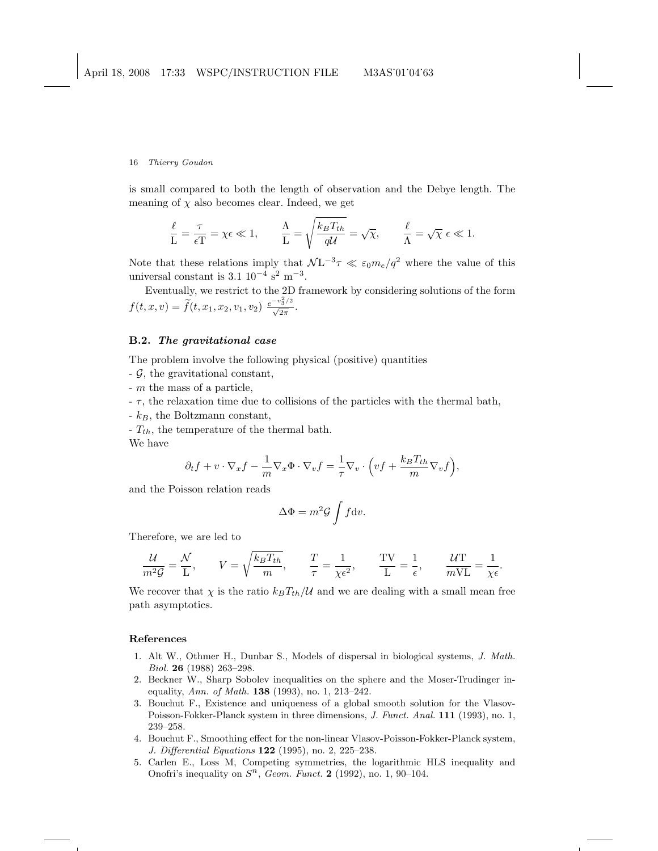is small compared to both the length of observation and the Debye length. The meaning of  $\chi$  also becomes clear. Indeed, we get

$$
\frac{\ell}{L} = \frac{\tau}{\epsilon T} = \chi \epsilon \ll 1, \qquad \frac{\Lambda}{L} = \sqrt{\frac{k_B T_{th}}{qU}} = \sqrt{\chi}, \qquad \frac{\ell}{\Lambda} = \sqrt{\chi} \epsilon \ll 1.
$$

Note that these relations imply that  $\mathcal{N}L^{-3}\tau \ll \varepsilon_0 m_e/q^2$  where the value of this universal constant is  $3.1 \, 10^{-4} \, \text{s}^2 \, \text{m}^{-3}$ .

Eventually, we restrict to the 2D framework by considering solutions of the form  $f(t, x, v) = \tilde{f}(t, x_1, x_2, v_1, v_2) \frac{e^{-v_3^2/2}}{\sqrt{2\pi}}.$ 

### B.2. The gravitational case

The problem involve the following physical (positive) quantities

- $-\mathcal{G}$ , the gravitational constant,
- m the mass of a particle,
- $\tau$ , the relaxation time due to collisions of the particles with the thermal bath,
- $-k_B$ , the Boltzmann constant,
- $-T_{th}$ , the temperature of the thermal bath.

We have

$$
\partial_t f + v \cdot \nabla_x f - \frac{1}{m} \nabla_x \Phi \cdot \nabla_v f = -\frac{1}{\tau} \nabla_v \cdot \left( v f + \frac{k_B T_{th}}{m} \nabla_v f \right),
$$

and the Poisson relation reads

$$
\Delta \Phi = m^2 \mathcal{G} \int f \mathrm{d}v.
$$

Therefore, we are led to

$$
\frac{\mathcal{U}}{m^2 \mathcal{G}} = \frac{\mathcal{N}}{L}, \qquad V = \sqrt{\frac{k_B T_{th}}{m}}, \qquad \frac{T}{\tau} = \frac{1}{\chi \epsilon^2}, \qquad \frac{TV}{L} = \frac{1}{\epsilon}, \qquad \frac{\mathcal{U}T}{mVL} = \frac{1}{\chi \epsilon}.
$$

We recover that  $\chi$  is the ratio  $k_B T_{th}/U$  and we are dealing with a small mean free path asymptotics.

## References

- 1. Alt W., Othmer H., Dunbar S., Models of dispersal in biological systems, J. Math. Biol. 26 (1988) 263–298.
- 2. Beckner W., Sharp Sobolev inequalities on the sphere and the Moser-Trudinger inequality, Ann. of Math. 138 (1993), no. 1, 213–242.
- 3. Bouchut F., Existence and uniqueness of a global smooth solution for the Vlasov-Poisson-Fokker-Planck system in three dimensions, J. Funct. Anal. 111 (1993), no. 1, 239–258.
- 4. Bouchut F., Smoothing effect for the non-linear Vlasov-Poisson-Fokker-Planck system, J. Differential Equations 122 (1995), no. 2, 225–238.
- 5. Carlen E., Loss M, Competing symmetries, the logarithmic HLS inequality and Onofri's inequality on  $S<sup>n</sup>$ , Geom. Funct. 2 (1992), no. 1, 90-104.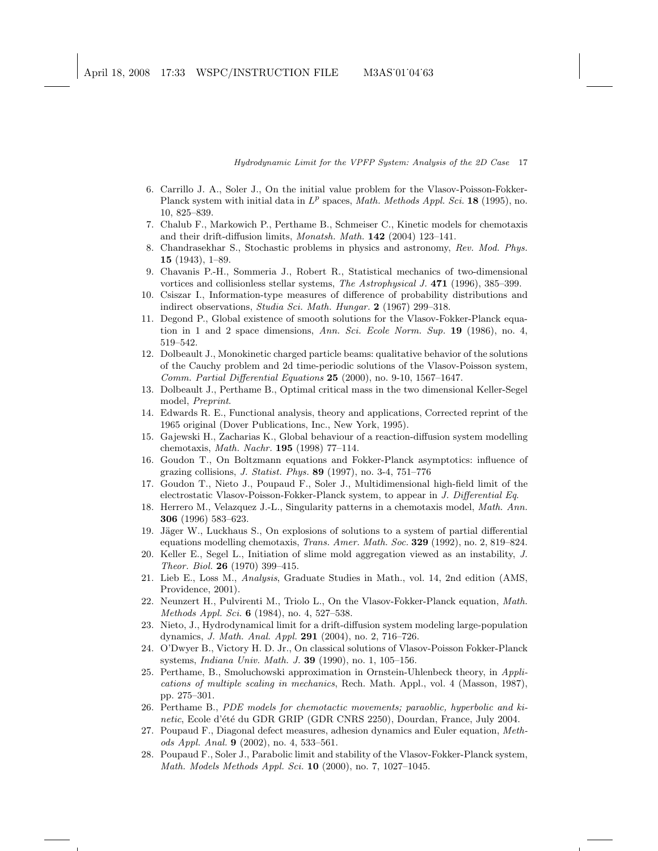- 6. Carrillo J. A., Soler J., On the initial value problem for the Vlasov-Poisson-Fokker-Planck system with initial data in  $L^p$  spaces, Math. Methods Appl. Sci. 18 (1995), no. 10, 825–839.
- 7. Chalub F., Markowich P., Perthame B., Schmeiser C., Kinetic models for chemotaxis and their drift-diffusion limits, Monatsh. Math. 142 (2004) 123–141.
- 8. Chandrasekhar S., Stochastic problems in physics and astronomy, Rev. Mod. Phys. 15 (1943), 1–89.
- 9. Chavanis P.-H., Sommeria J., Robert R., Statistical mechanics of two-dimensional vortices and collisionless stellar systems, The Astrophysical J. 471 (1996), 385–399.
- 10. Csiszar I., Information-type measures of difference of probability distributions and indirect observations, Studia Sci. Math. Hungar. 2 (1967) 299–318.
- 11. Degond P., Global existence of smooth solutions for the Vlasov-Fokker-Planck equation in 1 and 2 space dimensions, Ann. Sci. Ecole Norm. Sup.  $19$  (1986), no. 4, 519–542.
- 12. Dolbeault J., Monokinetic charged particle beams: qualitative behavior of the solutions of the Cauchy problem and 2d time-periodic solutions of the Vlasov-Poisson system, Comm. Partial Differential Equations 25 (2000), no. 9-10, 1567–1647.
- 13. Dolbeault J., Perthame B., Optimal critical mass in the two dimensional Keller-Segel model, Preprint.
- 14. Edwards R. E., Functional analysis, theory and applications, Corrected reprint of the 1965 original (Dover Publications, Inc., New York, 1995).
- 15. Gajewski H., Zacharias K., Global behaviour of a reaction-diffusion system modelling chemotaxis, Math. Nachr. 195 (1998) 77–114.
- 16. Goudon T., On Boltzmann equations and Fokker-Planck asymptotics: influence of grazing collisions, J. Statist. Phys. 89 (1997), no. 3-4, 751–776
- 17. Goudon T., Nieto J., Poupaud F., Soler J., Multidimensional high-field limit of the electrostatic Vlasov-Poisson-Fokker-Planck system, to appear in J. Differential Eq.
- 18. Herrero M., Velazquez J.-L., Singularity patterns in a chemotaxis model, Math. Ann. 306 (1996) 583–623.
- 19. Jäger W., Luckhaus S., On explosions of solutions to a system of partial differential equations modelling chemotaxis, Trans. Amer. Math. Soc. 329 (1992), no. 2, 819–824.
- 20. Keller E., Segel L., Initiation of slime mold aggregation viewed as an instability, J. Theor. Biol. 26 (1970) 399–415.
- 21. Lieb E., Loss M., Analysis, Graduate Studies in Math., vol. 14, 2nd edition (AMS, Providence, 2001).
- 22. Neunzert H., Pulvirenti M., Triolo L., On the Vlasov-Fokker-Planck equation, Math. Methods Appl. Sci. 6 (1984), no. 4, 527–538.
- 23. Nieto, J., Hydrodynamical limit for a drift-diffusion system modeling large-population dynamics, J. Math. Anal. Appl. 291 (2004), no. 2, 716–726.
- 24. O'Dwyer B., Victory H. D. Jr., On classical solutions of Vlasov-Poisson Fokker-Planck systems, Indiana Univ. Math. J. 39 (1990), no. 1, 105–156.
- 25. Perthame, B., Smoluchowski approximation in Ornstein-Uhlenbeck theory, in Applications of multiple scaling in mechanics, Rech. Math. Appl., vol. 4 (Masson, 1987), pp. 275–301.
- 26. Perthame B., PDE models for chemotactic movements; paraoblic, hyperbolic and kinetic, Ecole d'été du GDR GRIP (GDR CNRS 2250), Dourdan, France, July 2004.
- 27. Poupaud F., Diagonal defect measures, adhesion dynamics and Euler equation, Methods Appl. Anal. 9 (2002), no. 4, 533–561.
- 28. Poupaud F., Soler J., Parabolic limit and stability of the Vlasov-Fokker-Planck system, Math. Models Methods Appl. Sci. 10 (2000), no. 7, 1027–1045.